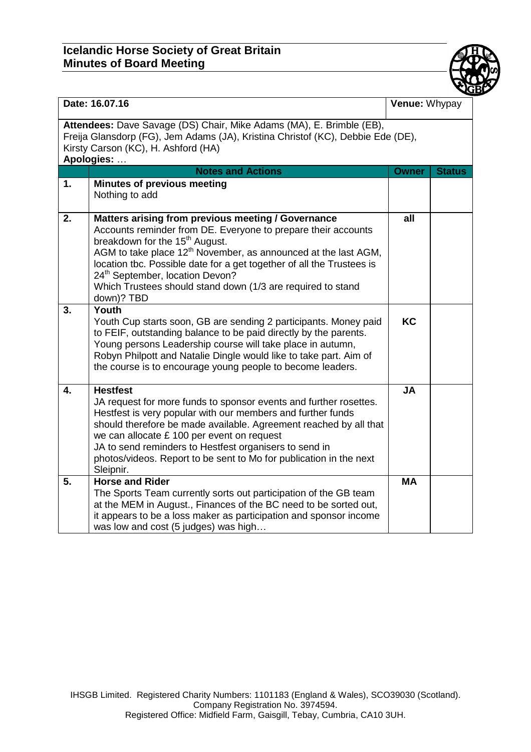## **Icelandic Horse Society of Great Britain Minutes of Board Meeting**



| Date: 16.07.16                                                                                                                                                                                               |                                                                                                                                                                                                                                                                                                                                                                                                                                                      | Venue: Whypay |               |  |
|--------------------------------------------------------------------------------------------------------------------------------------------------------------------------------------------------------------|------------------------------------------------------------------------------------------------------------------------------------------------------------------------------------------------------------------------------------------------------------------------------------------------------------------------------------------------------------------------------------------------------------------------------------------------------|---------------|---------------|--|
| Attendees: Dave Savage (DS) Chair, Mike Adams (MA), E. Brimble (EB),<br>Freija Glansdorp (FG), Jem Adams (JA), Kristina Christof (KC), Debbie Ede (DE),<br>Kirsty Carson (KC), H. Ashford (HA)<br>Apologies: |                                                                                                                                                                                                                                                                                                                                                                                                                                                      |               |               |  |
|                                                                                                                                                                                                              | <b>Notes and Actions</b>                                                                                                                                                                                                                                                                                                                                                                                                                             | <b>Owner</b>  | <b>Status</b> |  |
| 1.                                                                                                                                                                                                           | <b>Minutes of previous meeting</b><br>Nothing to add                                                                                                                                                                                                                                                                                                                                                                                                 |               |               |  |
| 2.                                                                                                                                                                                                           | Matters arising from previous meeting / Governance<br>Accounts reminder from DE. Everyone to prepare their accounts<br>breakdown for the 15 <sup>th</sup> August.<br>AGM to take place 12 <sup>th</sup> November, as announced at the last AGM,<br>location tbc. Possible date for a get together of all the Trustees is<br>24 <sup>th</sup> September, location Devon?<br>Which Trustees should stand down (1/3 are required to stand<br>down)? TBD | all           |               |  |
| 3.                                                                                                                                                                                                           | Youth<br>Youth Cup starts soon, GB are sending 2 participants. Money paid<br>to FEIF, outstanding balance to be paid directly by the parents.<br>Young persons Leadership course will take place in autumn,<br>Robyn Philpott and Natalie Dingle would like to take part. Aim of<br>the course is to encourage young people to become leaders.                                                                                                       | <b>KC</b>     |               |  |
| 4.                                                                                                                                                                                                           | <b>Hestfest</b><br>JA request for more funds to sponsor events and further rosettes.<br>Hestfest is very popular with our members and further funds<br>should therefore be made available. Agreement reached by all that<br>we can allocate £ 100 per event on request<br>JA to send reminders to Hestfest organisers to send in<br>photos/videos. Report to be sent to Mo for publication in the next<br>Sleipnir.                                  | <b>JA</b>     |               |  |
| 5.                                                                                                                                                                                                           | <b>Horse and Rider</b><br>The Sports Team currently sorts out participation of the GB team<br>at the MEM in August., Finances of the BC need to be sorted out,<br>it appears to be a loss maker as participation and sponsor income<br>was low and cost (5 judges) was high                                                                                                                                                                          | <b>MA</b>     |               |  |